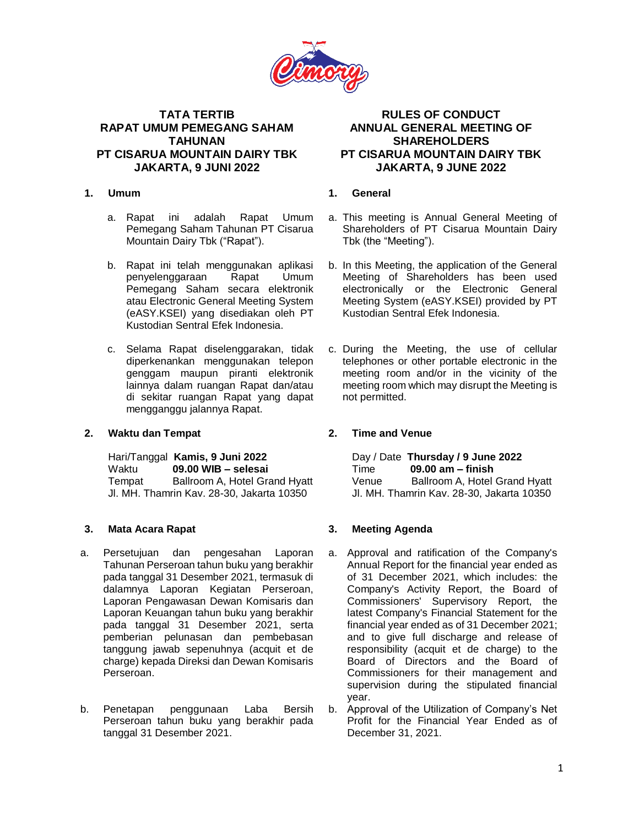

# **TATA TERTIB RAPAT UMUM PEMEGANG SAHAM TAHUNAN PT CISARUA MOUNTAIN DAIRY TBK JAKARTA, 9 JUNI 2022**

### **1. Umum**

- a. Rapat ini adalah Rapat Umum Pemegang Saham Tahunan PT Cisarua Mountain Dairy Tbk ("Rapat").
- b. Rapat ini telah menggunakan aplikasi penyelenggaraan Rapat Umum Pemegang Saham secara elektronik atau Electronic General Meeting System (eASY.KSEI) yang disediakan oleh PT Kustodian Sentral Efek Indonesia.
- c. Selama Rapat diselenggarakan, tidak diperkenankan menggunakan telepon genggam maupun piranti elektronik lainnya dalam ruangan Rapat dan/atau di sekitar ruangan Rapat yang dapat mengganggu jalannya Rapat.

## **2. Waktu dan Tempat**

Hari/Tanggal **Kamis, 9 Juni 2022** Waktu **09.00 WIB – selesai** Tempat Ballroom A, Hotel Grand Hyatt Jl. MH. Thamrin Kav. 28-30, Jakarta 10350

## **3. Mata Acara Rapat**

- a. Persetujuan dan pengesahan Laporan Tahunan Perseroan tahun buku yang berakhir pada tanggal 31 Desember 2021, termasuk di dalamnya Laporan Kegiatan Perseroan, Laporan Pengawasan Dewan Komisaris dan Laporan Keuangan tahun buku yang berakhir pada tanggal 31 Desember 2021, serta pemberian pelunasan dan pembebasan tanggung jawab sepenuhnya (acquit et de charge) kepada Direksi dan Dewan Komisaris Perseroan.
- b. Penetapan penggunaan Laba Bersih Perseroan tahun buku yang berakhir pada tanggal 31 Desember 2021.

# **RULES OF CONDUCT ANNUAL GENERAL MEETING OF SHAREHOLDERS PT CISARUA MOUNTAIN DAIRY TBK JAKARTA, 9 JUNE 2022**

# **1. General**

- a. This meeting is Annual General Meeting of Shareholders of PT Cisarua Mountain Dairy Tbk (the "Meeting").
- b. In this Meeting, the application of the General Meeting of Shareholders has been used electronically or the Electronic General Meeting System (eASY.KSEI) provided by PT Kustodian Sentral Efek Indonesia.
- c. During the Meeting, the use of cellular telephones or other portable electronic in the meeting room and/or in the vicinity of the meeting room which may disrupt the Meeting is not permitted.

## **2. Time and Venue**

Day / Date **Thursday / 9 June 2022** Time **09.00 am – finish**  Venue Ballroom A, Hotel Grand Hyatt Jl. MH. Thamrin Kav. 28-30, Jakarta 10350

## **3. Meeting Agenda**

- a. Approval and ratification of the Company's Annual Report for the financial year ended as of 31 December 2021, which includes: the Company's Activity Report, the Board of Commissioners' Supervisory Report, the latest Company's Financial Statement for the financial year ended as of 31 December 2021; and to give full discharge and release of responsibility (acquit et de charge) to the Board of Directors and the Board of Commissioners for their management and supervision during the stipulated financial year.
- b. Approval of the Utilization of Company's Net Profit for the Financial Year Ended as of December 31, 2021.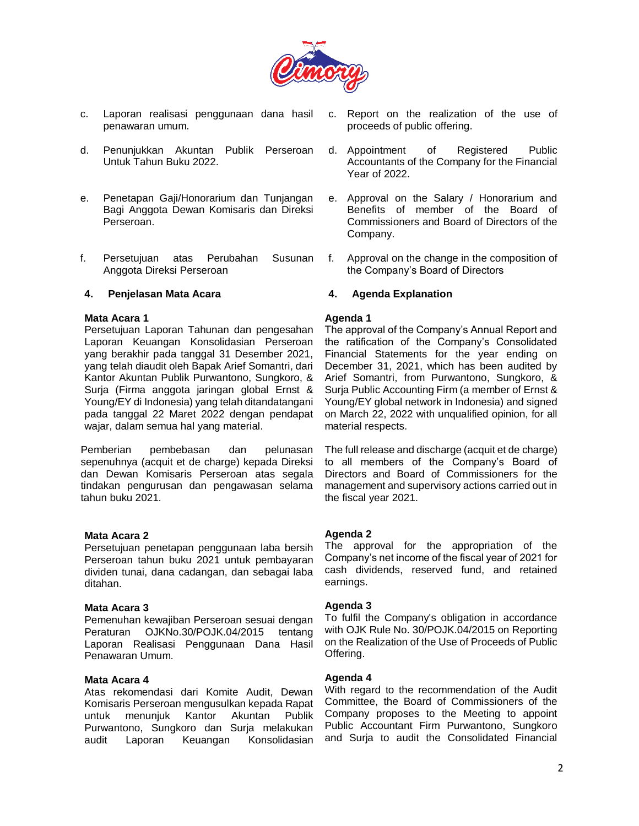

- c. Laporan realisasi penggunaan dana hasil penawaran umum.
- d. Penunjukkan Akuntan Publik Perseroan Untuk Tahun Buku 2022.
- e. Penetapan Gaji/Honorarium dan Tunjangan Bagi Anggota Dewan Komisaris dan Direksi Perseroan.
- f. Persetujuan atas Perubahan Susunan Anggota Direksi Perseroan

#### **4. Penjelasan Mata Acara**

#### **Mata Acara 1**

Persetujuan Laporan Tahunan dan pengesahan Laporan Keuangan Konsolidasian Perseroan yang berakhir pada tanggal 31 Desember 2021, yang telah diaudit oleh Bapak Arief Somantri, dari Kantor Akuntan Publik Purwantono, Sungkoro, & Surja (Firma anggota jaringan global Ernst & Young/EY di Indonesia) yang telah ditandatangani pada tanggal 22 Maret 2022 dengan pendapat wajar, dalam semua hal yang material.

Pemberian pembebasan dan pelunasan sepenuhnya (acquit et de charge) kepada Direksi dan Dewan Komisaris Perseroan atas segala tindakan pengurusan dan pengawasan selama tahun buku 2021.

#### **Mata Acara 2**

Persetujuan penetapan penggunaan laba bersih Perseroan tahun buku 2021 untuk pembayaran dividen tunai, dana cadangan, dan sebagai laba ditahan.

#### **Mata Acara 3**

Pemenuhan kewajiban Perseroan sesuai dengan Peraturan OJKNo.30/POJK.04/2015 tentang Laporan Realisasi Penggunaan Dana Hasil Penawaran Umum.

#### **Mata Acara 4**

Atas rekomendasi dari Komite Audit, Dewan Komisaris Perseroan mengusulkan kepada Rapat untuk menunjuk Kantor Akuntan Publik Purwantono, Sungkoro dan Surja melakukan audit Laporan Keuangan Konsolidasian

- c. Report on the realization of the use of proceeds of public offering.
- d. Appointment of Registered Public Accountants of the Company for the Financial Year of 2022.
- e. Approval on the Salary / Honorarium and Benefits of member of the Board of Commissioners and Board of Directors of the Company.
- f. Approval on the change in the composition of the Company's Board of Directors

### **4. Agenda Explanation**

#### **Agenda 1**

The approval of the Company's Annual Report and the ratification of the Company's Consolidated Financial Statements for the year ending on December 31, 2021, which has been audited by Arief Somantri, from Purwantono, Sungkoro, & Surja Public Accounting Firm (a member of Ernst & Young/EY global network in Indonesia) and signed on March 22, 2022 with unqualified opinion, for all material respects.

The full release and discharge (acquit et de charge) to all members of the Company's Board of Directors and Board of Commissioners for the management and supervisory actions carried out in the fiscal year 2021.

### **Agenda 2**

The approval for the appropriation of the Company's net income of the fiscal year of 2021 for cash dividends, reserved fund, and retained earnings.

### **Agenda 3**

To fulfil the Company's obligation in accordance with OJK Rule No. 30/POJK.04/2015 on Reporting on the Realization of the Use of Proceeds of Public Offering.

### **Agenda 4**

With regard to the recommendation of the Audit Committee, the Board of Commissioners of the Company proposes to the Meeting to appoint Public Accountant Firm Purwantono, Sungkoro and Surja to audit the Consolidated Financial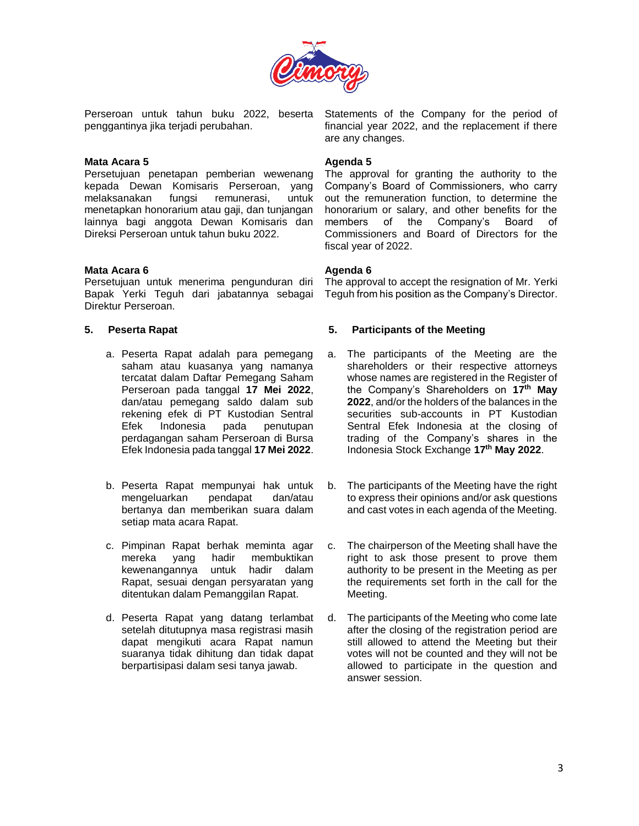

Perseroan untuk tahun buku 2022, beserta penggantinya jika terjadi perubahan.

#### **Mata Acara 5**

Persetujuan penetapan pemberian wewenang kepada Dewan Komisaris Perseroan, yang melaksanakan fungsi remunerasi, untuk menetapkan honorarium atau gaji, dan tunjangan lainnya bagi anggota Dewan Komisaris dan Direksi Perseroan untuk tahun buku 2022.

#### **Mata Acara 6**

Persetujuan untuk menerima pengunduran diri Bapak Yerki Teguh dari jabatannya sebagai Direktur Perseroan.

### **5. Peserta Rapat**

- a. Peserta Rapat adalah para pemegang saham atau kuasanya yang namanya tercatat dalam Daftar Pemegang Saham Perseroan pada tanggal **17 Mei 2022**, dan/atau pemegang saldo dalam sub rekening efek di PT Kustodian Sentral Efek Indonesia pada penutupan perdagangan saham Perseroan di Bursa Efek Indonesia pada tanggal **17 Mei 2022**.
- b. Peserta Rapat mempunyai hak untuk mengeluarkan pendapat dan/atau bertanya dan memberikan suara dalam setiap mata acara Rapat.
- c. Pimpinan Rapat berhak meminta agar mereka yang hadir membuktikan kewenangannya untuk hadir dalam Rapat, sesuai dengan persyaratan yang ditentukan dalam Pemanggilan Rapat.
- d. Peserta Rapat yang datang terlambat setelah ditutupnya masa registrasi masih dapat mengikuti acara Rapat namun suaranya tidak dihitung dan tidak dapat berpartisipasi dalam sesi tanya jawab.

Statements of the Company for the period of financial year 2022, and the replacement if there are any changes.

#### **Agenda 5**

The approval for granting the authority to the Company's Board of Commissioners, who carry out the remuneration function, to determine the honorarium or salary, and other benefits for the members of the Company's Board of Commissioners and Board of Directors for the fiscal year of 2022.

### **Agenda 6**

The approval to accept the resignation of Mr. Yerki Teguh from his position as the Company's Director.

#### **5. Participants of the Meeting**

- a. The participants of the Meeting are the shareholders or their respective attorneys whose names are registered in the Register of the Company's Shareholders on **17 th May 2022**, and/or the holders of the balances in the securities sub-accounts in PT Kustodian Sentral Efek Indonesia at the closing of trading of the Company's shares in the Indonesia Stock Exchange **17th May 2022**.
- b. The participants of the Meeting have the right to express their opinions and/or ask questions and cast votes in each agenda of the Meeting.
- c. The chairperson of the Meeting shall have the right to ask those present to prove them authority to be present in the Meeting as per the requirements set forth in the call for the Meeting.
- d. The participants of the Meeting who come late after the closing of the registration period are still allowed to attend the Meeting but their votes will not be counted and they will not be allowed to participate in the question and answer session.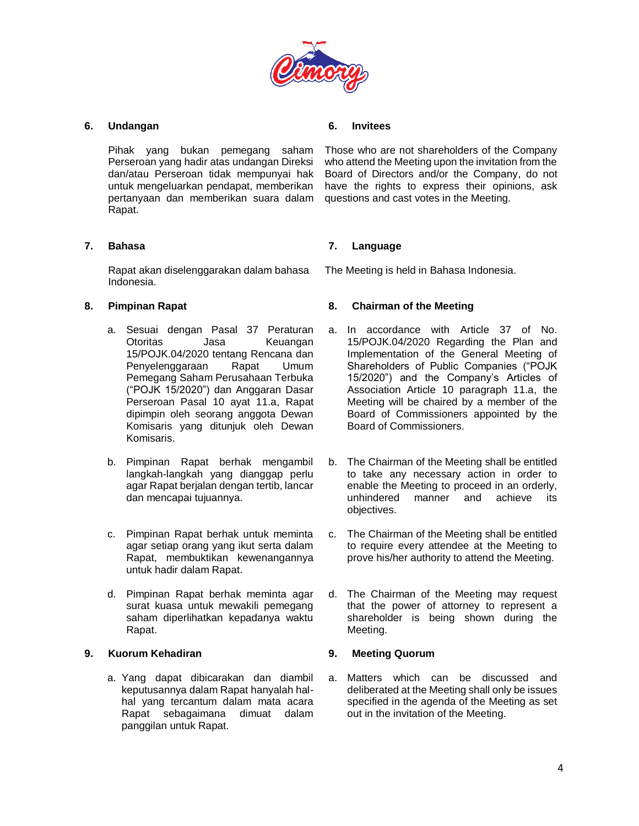

### **6. Undangan**

Pihak yang bukan pemegang saham Perseroan yang hadir atas undangan Direksi dan/atau Perseroan tidak mempunyai hak untuk mengeluarkan pendapat, memberikan pertanyaan dan memberikan suara dalam Rapat.

### **7. Bahasa**

Rapat akan diselenggarakan dalam bahasa Indonesia.

### **8. Pimpinan Rapat**

- a. Sesuai dengan Pasal 37 Peraturan Otoritas Jasa Keuangan 15/POJK.04/2020 tentang Rencana dan Penyelenggaraan Rapat Umum Pemegang Saham Perusahaan Terbuka ("POJK 15/2020") dan Anggaran Dasar Perseroan Pasal 10 ayat 11.a, Rapat dipimpin oleh seorang anggota Dewan Komisaris yang ditunjuk oleh Dewan Komisaris.
- b. Pimpinan Rapat berhak mengambil langkah-langkah yang dianggap perlu agar Rapat berjalan dengan tertib, lancar dan mencapai tujuannya.
- c. Pimpinan Rapat berhak untuk meminta agar setiap orang yang ikut serta dalam Rapat, membuktikan kewenangannya untuk hadir dalam Rapat.
- d. Pimpinan Rapat berhak meminta agar surat kuasa untuk mewakili pemegang saham diperlihatkan kepadanya waktu Rapat.

## **9. Kuorum Kehadiran**

a. Yang dapat dibicarakan dan diambil keputusannya dalam Rapat hanyalah halhal yang tercantum dalam mata acara Rapat sebagaimana dimuat dalam panggilan untuk Rapat.

### **6. Invitees**

Those who are not shareholders of the Company who attend the Meeting upon the invitation from the Board of Directors and/or the Company, do not have the rights to express their opinions, ask questions and cast votes in the Meeting.

### **7. Language**

The Meeting is held in Bahasa Indonesia.

### **8. Chairman of the Meeting**

- a. In accordance with Article 37 of No. 15/POJK.04/2020 Regarding the Plan and Implementation of the General Meeting of Shareholders of Public Companies ("POJK 15/2020") and the Company's Articles of Association Article 10 paragraph 11.a, the Meeting will be chaired by a member of the Board of Commissioners appointed by the Board of Commissioners.
- b. The Chairman of the Meeting shall be entitled to take any necessary action in order to enable the Meeting to proceed in an orderly, unhindered manner and achieve its objectives.
- c. The Chairman of the Meeting shall be entitled to require every attendee at the Meeting to prove his/her authority to attend the Meeting.
- d. The Chairman of the Meeting may request that the power of attorney to represent a shareholder is being shown during the Meeting.

### **9. Meeting Quorum**

a. Matters which can be discussed and deliberated at the Meeting shall only be issues specified in the agenda of the Meeting as set out in the invitation of the Meeting.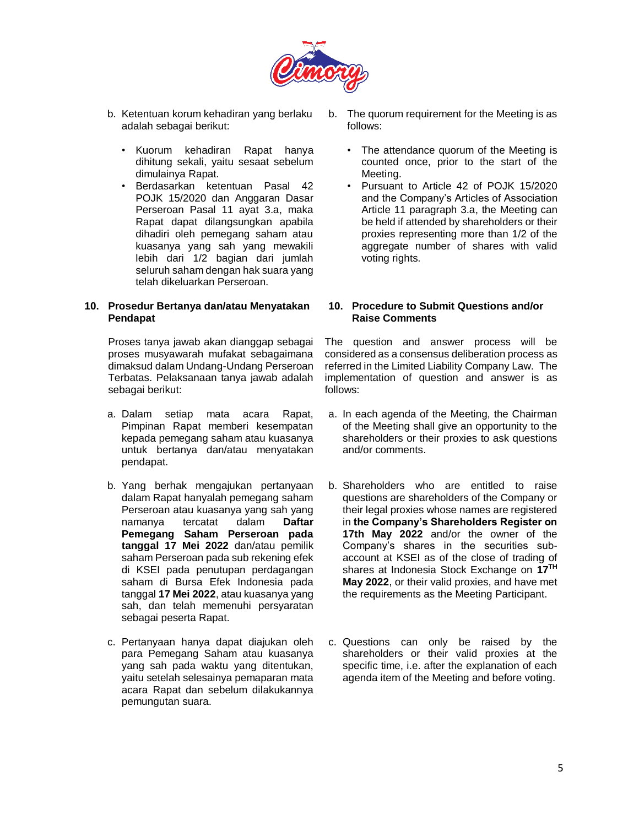

- b. Ketentuan korum kehadiran yang berlaku adalah sebagai berikut:
	- Kuorum kehadiran Rapat hanya dihitung sekali, yaitu sesaat sebelum dimulainya Rapat.
	- Berdasarkan ketentuan Pasal 42 POJK 15/2020 dan Anggaran Dasar Perseroan Pasal 11 ayat 3.a, maka Rapat dapat dilangsungkan apabila dihadiri oleh pemegang saham atau kuasanya yang sah yang mewakili lebih dari 1/2 bagian dari jumlah seluruh saham dengan hak suara yang telah dikeluarkan Perseroan.

### **10. Prosedur Bertanya dan/atau Menyatakan Pendapat**

Proses tanya jawab akan dianggap sebagai proses musyawarah mufakat sebagaimana dimaksud dalam Undang-Undang Perseroan Terbatas. Pelaksanaan tanya jawab adalah sebagai berikut:

- a. Dalam setiap mata acara Rapat, Pimpinan Rapat memberi kesempatan kepada pemegang saham atau kuasanya untuk bertanya dan/atau menyatakan pendapat.
- b. Yang berhak mengajukan pertanyaan dalam Rapat hanyalah pemegang saham Perseroan atau kuasanya yang sah yang<br>namanya tercatat dalam **Daftar** namanya tercatat dalam **Daftar Pemegang Saham Perseroan pada tanggal 17 Mei 2022** dan/atau pemilik saham Perseroan pada sub rekening efek di KSEI pada penutupan perdagangan saham di Bursa Efek Indonesia pada tanggal **17 Mei 2022**, atau kuasanya yang sah, dan telah memenuhi persyaratan sebagai peserta Rapat.
- c. Pertanyaan hanya dapat diajukan oleh para Pemegang Saham atau kuasanya yang sah pada waktu yang ditentukan, yaitu setelah selesainya pemaparan mata acara Rapat dan sebelum dilakukannya pemungutan suara.
- b. The quorum requirement for the Meeting is as follows:
	- The attendance quorum of the Meeting is counted once, prior to the start of the Meeting.
	- Pursuant to Article 42 of POJK 15/2020 and the Company's Articles of Association Article 11 paragraph 3.a, the Meeting can be held if attended by shareholders or their proxies representing more than 1/2 of the aggregate number of shares with valid voting rights.

### **10. Procedure to Submit Questions and/or Raise Comments**

The question and answer process will be considered as a consensus deliberation process as referred in the Limited Liability Company Law. The implementation of question and answer is as follows:

- a. In each agenda of the Meeting, the Chairman of the Meeting shall give an opportunity to the shareholders or their proxies to ask questions and/or comments.
- b. Shareholders who are entitled to raise questions are shareholders of the Company or their legal proxies whose names are registered in **the Company's Shareholders Register on 17th May 2022** and/or the owner of the Company's shares in the securities subaccount at KSEI as of the close of trading of shares at Indonesia Stock Exchange on **17TH May 2022**, or their valid proxies, and have met the requirements as the Meeting Participant.
- c. Questions can only be raised by the shareholders or their valid proxies at the specific time, i.e. after the explanation of each agenda item of the Meeting and before voting.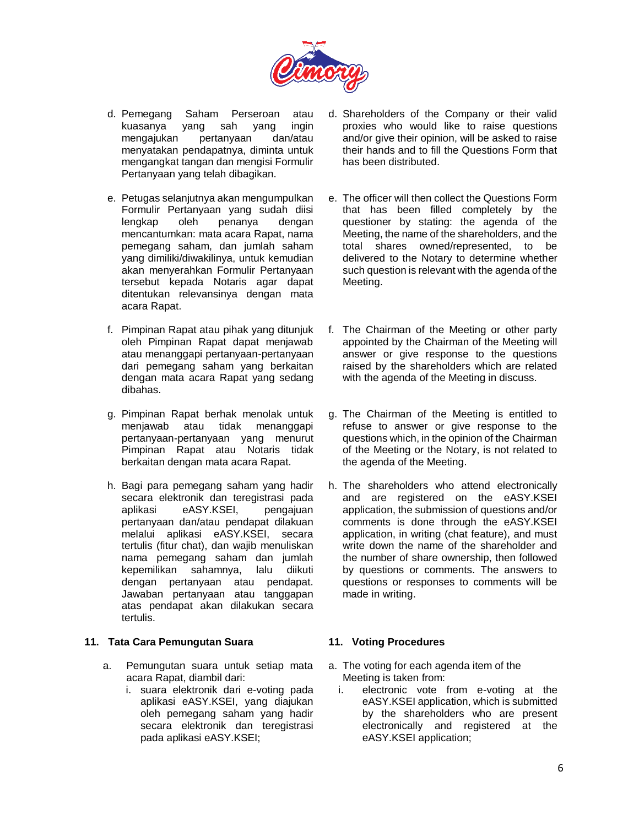

- d. Pemegang Saham Perseroan atau kuasanya yang sah yang ingin mengajukan pertanyaan dan/atau menyatakan pendapatnya, diminta untuk mengangkat tangan dan mengisi Formulir Pertanyaan yang telah dibagikan.
- e. Petugas selanjutnya akan mengumpulkan Formulir Pertanyaan yang sudah diisi lengkap oleh penanya dengan mencantumkan: mata acara Rapat, nama pemegang saham, dan jumlah saham yang dimiliki/diwakilinya, untuk kemudian akan menyerahkan Formulir Pertanyaan tersebut kepada Notaris agar dapat ditentukan relevansinya dengan mata acara Rapat.
- f. Pimpinan Rapat atau pihak yang ditunjuk oleh Pimpinan Rapat dapat menjawab atau menanggapi pertanyaan-pertanyaan dari pemegang saham yang berkaitan dengan mata acara Rapat yang sedang dibahas.
- g. Pimpinan Rapat berhak menolak untuk menjawab atau tidak menanggapi pertanyaan-pertanyaan yang menurut Pimpinan Rapat atau Notaris tidak berkaitan dengan mata acara Rapat.
- h. Bagi para pemegang saham yang hadir secara elektronik dan teregistrasi pada aplikasi eASY.KSEI, pengajuan pertanyaan dan/atau pendapat dilakuan melalui aplikasi eASY.KSEI, secara tertulis (fitur chat), dan wajib menuliskan nama pemegang saham dan jumlah kepemilikan sahamnya, lalu diikuti dengan pertanyaan atau pendapat. Jawaban pertanyaan atau tanggapan atas pendapat akan dilakukan secara tertulis.

### **11. Tata Cara Pemungutan Suara**

- a. Pemungutan suara untuk setiap mata acara Rapat, diambil dari:
	- i. suara elektronik dari e-voting pada aplikasi eASY.KSEI, yang diajukan oleh pemegang saham yang hadir secara elektronik dan teregistrasi pada aplikasi eASY.KSEI;
- d. Shareholders of the Company or their valid proxies who would like to raise questions and/or give their opinion, will be asked to raise their hands and to fill the Questions Form that has been distributed.
- e. The officer will then collect the Questions Form that has been filled completely by the questioner by stating: the agenda of the Meeting, the name of the shareholders, and the total shares owned/represented, to be delivered to the Notary to determine whether such question is relevant with the agenda of the Meeting.
- f. The Chairman of the Meeting or other party appointed by the Chairman of the Meeting will answer or give response to the questions raised by the shareholders which are related with the agenda of the Meeting in discuss.
- g. The Chairman of the Meeting is entitled to refuse to answer or give response to the questions which, in the opinion of the Chairman of the Meeting or the Notary, is not related to the agenda of the Meeting.
- h. The shareholders who attend electronically and are registered on the eASY.KSEI application, the submission of questions and/or comments is done through the eASY.KSEI application, in writing (chat feature), and must write down the name of the shareholder and the number of share ownership, then followed by questions or comments. The answers to questions or responses to comments will be made in writing.

## **11. Voting Procedures**

- a. The voting for each agenda item of the Meeting is taken from:
	- i. electronic vote from e-voting at the eASY.KSEI application, which is submitted by the shareholders who are present electronically and registered at the eASY.KSEI application;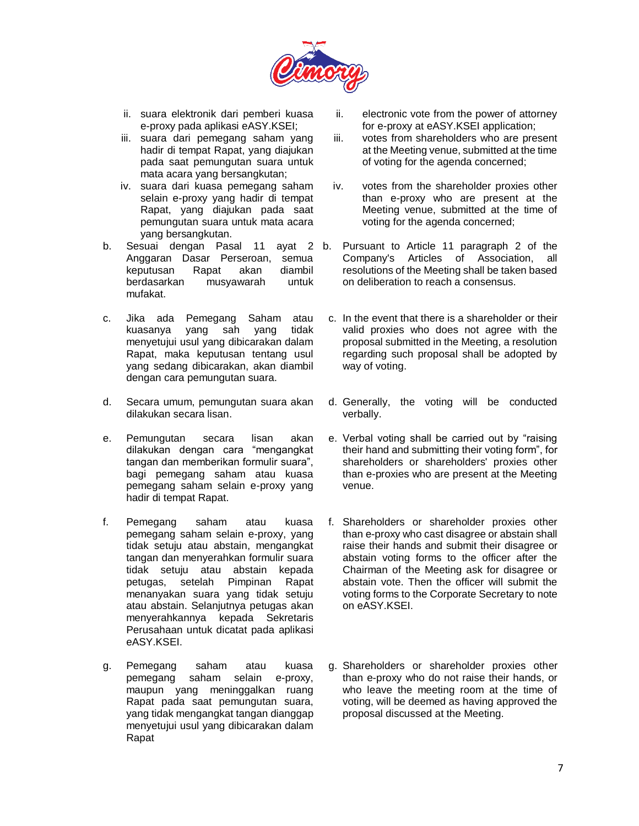

- ii. suara elektronik dari pemberi kuasa e-proxy pada aplikasi eASY.KSEI;
- iii. suara dari pemegang saham yang hadir di tempat Rapat, yang diajukan pada saat pemungutan suara untuk mata acara yang bersangkutan;
- iv. suara dari kuasa pemegang saham selain e-proxy yang hadir di tempat Rapat, yang diajukan pada saat pemungutan suara untuk mata acara yang bersangkutan.
- b. Sesuai dengan Pasal 11 ayat 2 Anggaran Dasar Perseroan, semua keputusan Rapat akan diambil berdasarkan musyawarah untuk mufakat.
- c. Jika ada Pemegang Saham atau kuasanya yang sah yang tidak menyetujui usul yang dibicarakan dalam Rapat, maka keputusan tentang usul yang sedang dibicarakan, akan diambil dengan cara pemungutan suara.
- d. Secara umum, pemungutan suara akan dilakukan secara lisan.
- e. Pemungutan secara lisan akan dilakukan dengan cara "mengangkat tangan dan memberikan formulir suara", bagi pemegang saham atau kuasa pemegang saham selain e-proxy yang hadir di tempat Rapat.
- f. Pemegang saham atau kuasa pemegang saham selain e-proxy, yang tidak setuju atau abstain, mengangkat tangan dan menyerahkan formulir suara tidak setuju atau abstain kepada petugas, setelah Pimpinan Rapat menanyakan suara yang tidak setuju atau abstain. Selanjutnya petugas akan menyerahkannya kepada Sekretaris Perusahaan untuk dicatat pada aplikasi eASY.KSEI.
- g. Pemegang saham atau kuasa pemegang saham selain e-proxy, maupun yang meninggalkan ruang Rapat pada saat pemungutan suara, yang tidak mengangkat tangan dianggap menyetujui usul yang dibicarakan dalam Rapat
- ii. electronic vote from the power of attorney for e-proxy at eASY.KSEI application;
- iii. votes from shareholders who are present at the Meeting venue, submitted at the time of voting for the agenda concerned;
- iv. votes from the shareholder proxies other than e-proxy who are present at the Meeting venue, submitted at the time of voting for the agenda concerned;
- Pursuant to Article 11 paragraph 2 of the Company's Articles of Association, all resolutions of the Meeting shall be taken based on deliberation to reach a consensus.
- c. In the event that there is a shareholder or their valid proxies who does not agree with the proposal submitted in the Meeting, a resolution regarding such proposal shall be adopted by way of voting.
- d. Generally, the voting will be conducted verbally.
- e. Verbal voting shall be carried out by "raising their hand and submitting their voting form", for shareholders or shareholders' proxies other than e-proxies who are present at the Meeting venue.
- f. Shareholders or shareholder proxies other than e-proxy who cast disagree or abstain shall raise their hands and submit their disagree or abstain voting forms to the officer after the Chairman of the Meeting ask for disagree or abstain vote. Then the officer will submit the voting forms to the Corporate Secretary to note on eASY.KSEI.
- g. Shareholders or shareholder proxies other than e-proxy who do not raise their hands, or who leave the meeting room at the time of voting, will be deemed as having approved the proposal discussed at the Meeting.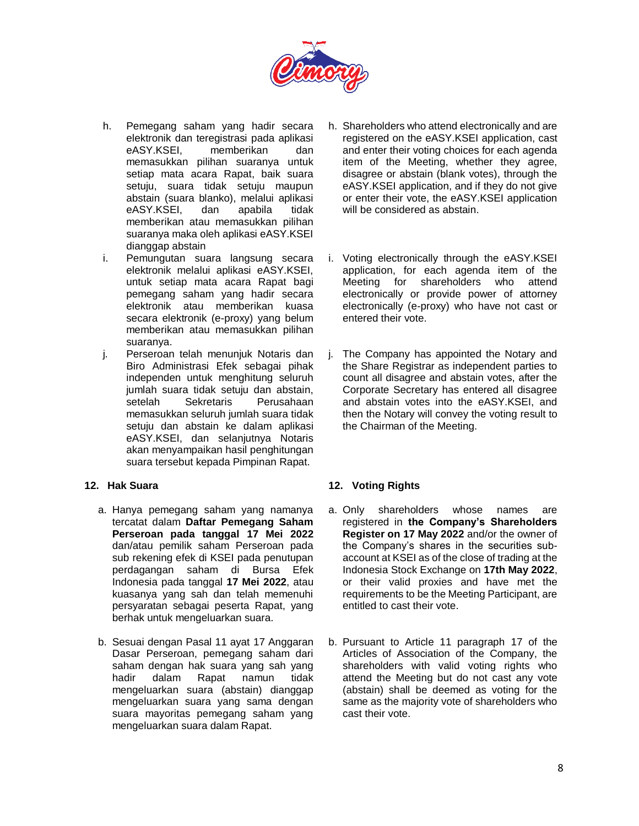

- h. Pemegang saham yang hadir secara elektronik dan teregistrasi pada aplikasi eASY.KSEI, memberikan dan memasukkan pilihan suaranya untuk setiap mata acara Rapat, baik suara setuju, suara tidak setuju maupun abstain (suara blanko), melalui aplikasi eASY.KSEI, dan apabila tidak memberikan atau memasukkan pilihan suaranya maka oleh aplikasi eASY.KSEI dianggap abstain
- i. Pemungutan suara langsung secara elektronik melalui aplikasi eASY.KSEI, untuk setiap mata acara Rapat bagi pemegang saham yang hadir secara elektronik atau memberikan kuasa secara elektronik (e-proxy) yang belum memberikan atau memasukkan pilihan suaranya.
- j. Perseroan telah menunjuk Notaris dan Biro Administrasi Efek sebagai pihak independen untuk menghitung seluruh jumlah suara tidak setuju dan abstain, setelah Sekretaris Perusahaan memasukkan seluruh jumlah suara tidak setuju dan abstain ke dalam aplikasi eASY.KSEI, dan selanjutnya Notaris akan menyampaikan hasil penghitungan suara tersebut kepada Pimpinan Rapat.

### **12. Hak Suara**

- a. Hanya pemegang saham yang namanya tercatat dalam **Daftar Pemegang Saham Perseroan pada tanggal 17 Mei 2022** dan/atau pemilik saham Perseroan pada sub rekening efek di KSEI pada penutupan perdagangan saham di Bursa Efek Indonesia pada tanggal **17 Mei 2022**, atau kuasanya yang sah dan telah memenuhi persyaratan sebagai peserta Rapat, yang berhak untuk mengeluarkan suara.
- b. Sesuai dengan Pasal 11 ayat 17 Anggaran Dasar Perseroan, pemegang saham dari saham dengan hak suara yang sah yang hadir dalam Rapat namun tidak mengeluarkan suara (abstain) dianggap mengeluarkan suara yang sama dengan suara mayoritas pemegang saham yang mengeluarkan suara dalam Rapat.
- h. Shareholders who attend electronically and are registered on the eASY.KSEI application, cast and enter their voting choices for each agenda item of the Meeting, whether they agree, disagree or abstain (blank votes), through the eASY.KSEI application, and if they do not give or enter their vote, the eASY.KSEI application will be considered as abstain.
- i. Voting electronically through the eASY.KSEI application, for each agenda item of the Meeting for shareholders who attend electronically or provide power of attorney electronically (e-proxy) who have not cast or entered their vote.
- j. The Company has appointed the Notary and the Share Registrar as independent parties to count all disagree and abstain votes, after the Corporate Secretary has entered all disagree and abstain votes into the eASY.KSEI, and then the Notary will convey the voting result to the Chairman of the Meeting.

# **12. Voting Rights**

- a. Only shareholders whose names are registered in **the Company's Shareholders Register on 17 May 2022** and/or the owner of the Company's shares in the securities subaccount at KSEI as of the close of trading at the Indonesia Stock Exchange on **17th May 2022**, or their valid proxies and have met the requirements to be the Meeting Participant, are entitled to cast their vote.
- b. Pursuant to Article 11 paragraph 17 of the Articles of Association of the Company, the shareholders with valid voting rights who attend the Meeting but do not cast any vote (abstain) shall be deemed as voting for the same as the majority vote of shareholders who cast their vote.